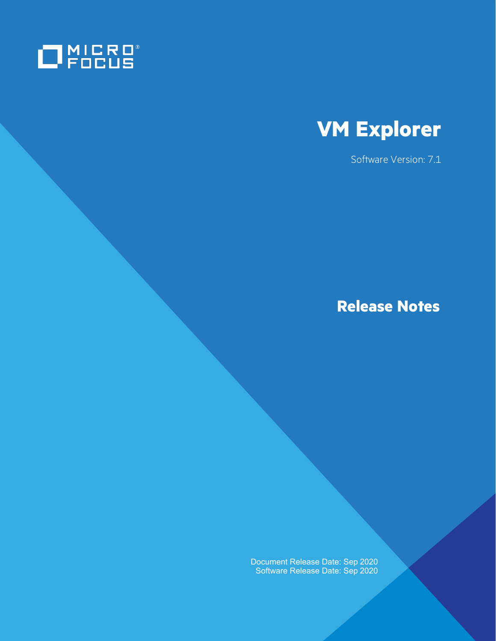



Software Version: 7.1

**Release Notes**

Document Release Date: Sep 2020 Software Release Date: Sep 2020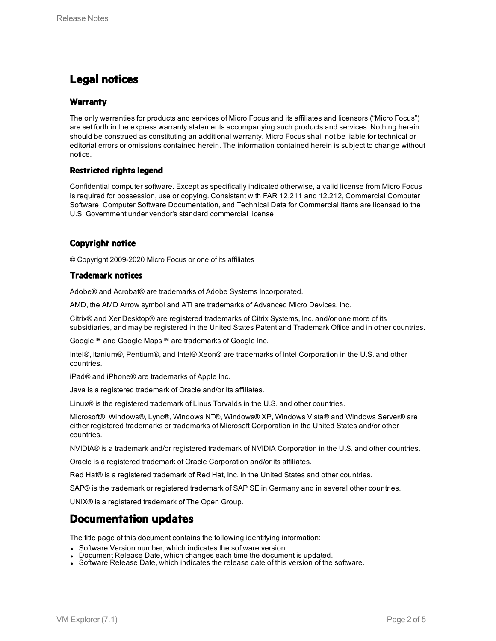### **Legal notices**

#### **Warranty**

The only warranties for products and services of Micro Focus and its affiliates and licensors ("Micro Focus") are set forth in the express warranty statements accompanying such products and services. Nothing herein should be construed as constituting an additional warranty. Micro Focus shall not be liable for technical or editorial errors or omissions contained herein. The information contained herein is subject to change without notice.

### **Restricted rights legend**

Confidential computer software. Except as specifically indicated otherwise, a valid license from Micro Focus is required for possession, use or copying. Consistent with FAR 12.211 and 12.212, Commercial Computer Software, Computer Software Documentation, and Technical Data for Commercial Items are licensed to the U.S. Government under vendor's standard commercial license.

### **Copyright notice**

© Copyright 2009-2020 Micro Focus or one of its affiliates

#### **Trademark notices**

Adobe® and Acrobat® are trademarks of Adobe Systems Incorporated.

AMD, the AMD Arrow symbol and ATI are trademarks of Advanced Micro Devices, Inc.

Citrix® and XenDesktop® are registered trademarks of Citrix Systems, Inc. and/or one more of its subsidiaries, and may be registered in the United States Patent and Trademark Office and in other countries.

Google™ and Google Maps™ are trademarks of Google Inc.

Intel®, Itanium®, Pentium®, and Intel® Xeon® are trademarks of Intel Corporation in the U.S. and other countries.

iPad® and iPhone® are trademarks of Apple Inc.

Java is a registered trademark of Oracle and/or its affiliates.

Linux® is the registered trademark of Linus Torvalds in the U.S. and other countries.

Microsoft®, Windows®, Lync®, Windows NT®, Windows® XP, Windows Vista® and Windows Server® are either registered trademarks or trademarks of Microsoft Corporation in the United States and/or other countries.

NVIDIA® is a trademark and/or registered trademark of NVIDIA Corporation in the U.S. and other countries.

Oracle is a registered trademark of Oracle Corporation and/or its affiliates.

Red Hat® is a registered trademark of Red Hat, Inc. in the United States and other countries.

SAP® is the trademark or registered trademark of SAP SE in Germany and in several other countries.

UNIX® is a registered trademark of The Open Group.

### **Documentation updates**

The title page of this document contains the following identifying information:

- Software Version number, which indicates the software version.
- Document Release Date, which changes each time the document is updated.
- Software Release Date, which indicates the release date of this version of the software.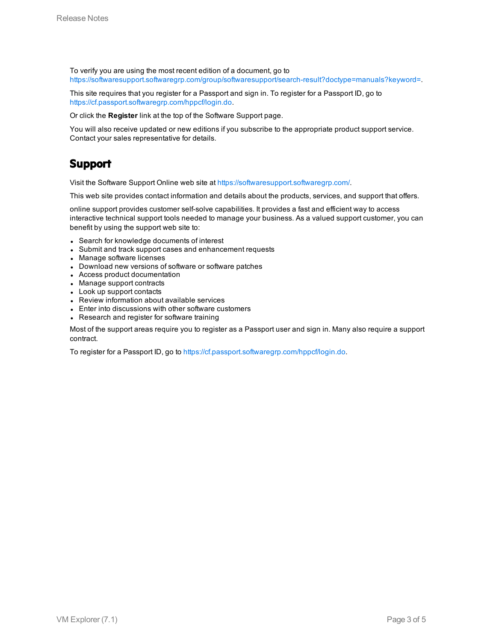To verify you are using the most recent edition of a document, go to [https://softwaresupport.softwaregrp.com/group/softwaresupport/search-result?doctype=manuals?keyword=.](https://softwaresupport.softwaregrp.com/group/softwaresupport/search-result?doctype=manuals?keyword=)

This site requires that you register for a Passport and sign in. To register for a Passport ID, go to <https://cf.passport.softwaregrp.com/hppcf/login.do>.

Or click the **Register** link at the top of the Software Support page.

You will also receive updated or new editions if you subscribe to the appropriate product support service. Contact your sales representative for details.

### **Support**

Visit the Software Support Online web site at <https://softwaresupport.softwaregrp.com/>.

This web site provides contact information and details about the products, services, and support that offers.

online support provides customer self-solve capabilities. It provides a fast and efficient way to access interactive technical support tools needed to manage your business. As a valued support customer, you can benefit by using the support web site to:

- Search for knowledge documents of interest
- Submit and track support cases and enhancement requests
- Manage software licenses
- Download new versions of software or software patches
- Access product documentation
- Manage support contracts
- Look up support contacts
- Review information about available services
- Enter into discussions with other software customers
- Research and register for software training

Most of the support areas require you to register as a Passport user and sign in. Many also require a support contract.

To register for a Passport ID, go to [https://cf.passport.softwaregrp.com/hppcf/login.do.](https://cf.passport.softwaregrp.com/hppcf/login.do)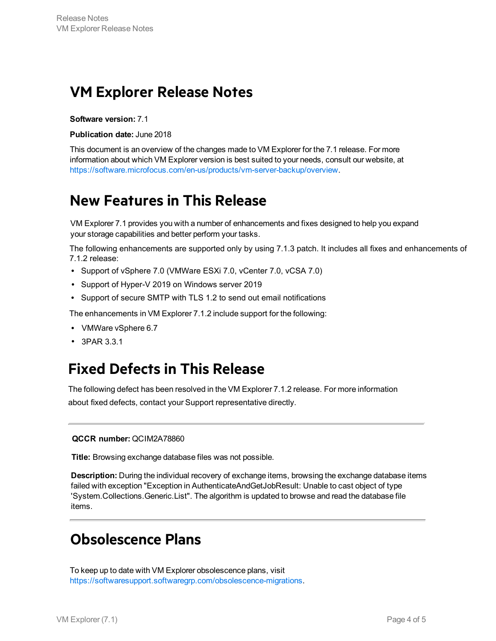## **VM Explorer Release Notes**

**Software version:** 7.1

**Publication date:** June 2018

This document is an overview of the changes made to VM Explorer for the 7.1 release. For more information about which VM Explorer version is best suited to your needs, consult our website, at [https://software.microfocus.com/en-us/products/vm-server-backup/overview.](https://software.microfocus.com/en-us/products/vm-server-backup/overview)

## **New Features in This Release**

VM Explorer 7.1 provides you with a number of enhancements and fixes designed to help you expand your storage capabilities and better perform your tasks.

The following enhancements are supported only by using 7.1.3 patch. It includes all fixes and enhancements of 7.1.2 release:

- Support of vSphere 7.0 (VMWare ESXi 7.0, vCenter 7.0, vCSA 7.0)
- Support of Hyper-V 2019 on Windows server 2019 l
- Support of secure SMTP with TLS 1.2 to send out email notifications

The enhancements in VM Explorer 7.1.2 include support for the following:

- VMWare vSphere 6.7
- 3PAR 3.3.1 l

### **Fixed Defects in This Release**

The following defect has been resolved in the VM Explorer 7.1.2 release. For more information about fixed defects, contact your Support representative directly.

#### **QCCR number:** QCIM2A78860

**Title:** Browsing exchange database files was not possible.

**Description:** During the individual recovery of exchange items, browsing the exchange database items failed with exception "Exception in AuthenticateAndGetJobResult: Unable to cast object of type 'System.Collections.Generic.List". The algorithm is updated to browse and read the database file [items.](https://softwaresupport.softwaregrp.com/obsolescence-migrations)

### **Obsolescence Plans**

To keep up to date with VM Explorer obsolescence plans, visit https://softwaresupport.softwaregrp.com/obsolescence-migrations.